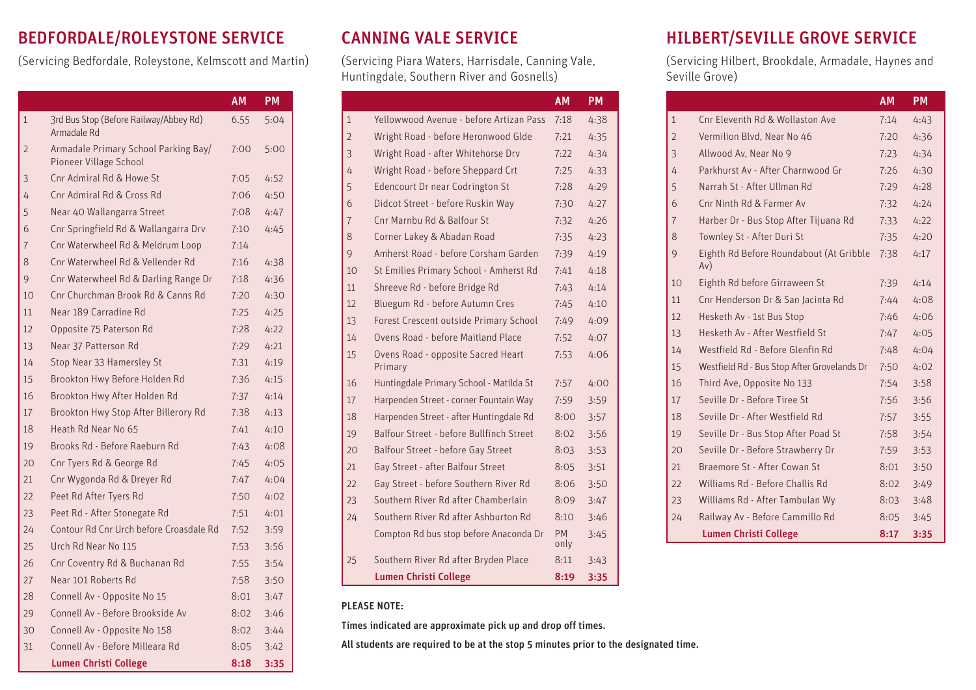### BEDFORDALE/ROLEYSTONE SERVICE

(Servicing Bedfordale, Roleystone, Kelmscott and Martin)

|              |                                                                | <b>AM</b> | PM   |
|--------------|----------------------------------------------------------------|-----------|------|
| $\mathbf{1}$ | 3rd Bus Stop (Before Railway/Abbey Rd)<br>Armadale Rd          | 6.55      | 5:04 |
| 2            | Armadale Primary School Parking Bay/<br>Pioneer Village School | 7:00      | 5:00 |
| 3            | Cnr Admiral Rd & Howe St                                       | 7:05      | 4:52 |
| 4            | Cnr Admiral Rd & Cross Rd                                      | 7:06      | 4:50 |
| 5            | Near 40 Wallangarra Street                                     | 7:08      | 4:47 |
| 6            | Cnr Springfield Rd & Wallangarra Drv                           | 7:10      | 4:45 |
| 7            | Cnr Waterwheel Rd & Meldrum Loop                               | 7:14      |      |
| 8            | Cnr Waterwheel Rd & Vellender Rd                               | 7:16      | 4:38 |
| 9            | Cnr Waterwheel Rd & Darling Range Dr                           | 7:18      | 4:36 |
| 10           | Cnr Churchman Brook Rd & Canns Rd                              | 7:20      | 4:30 |
| 11           | Near 189 Carradine Rd                                          | 7:25      | 4:25 |
| 12           | Opposite 75 Paterson Rd                                        | 7:28      | 4:22 |
| 13           | Near 37 Patterson Rd                                           | 7:29      | 4:21 |
| 14           | Stop Near 33 Hamersley St                                      | 7:31      | 4:19 |
| 15           | Brookton Hwy Before Holden Rd                                  | 7:36      | 4:15 |
| 16           | Brookton Hwy After Holden Rd                                   | 7:37      | 4:14 |
| 17           | Brookton Hwy Stop After Billerory Rd                           | 7:38      | 4:13 |
| 18           | Heath Rd Near No 65                                            | 7:41      | 4:10 |
| 19           | Brooks Rd - Before Raeburn Rd                                  | 7:43      | 4:08 |
| 20           | Cnr Tyers Rd & George Rd                                       | 7:45      | 4:05 |
| 21           | Cnr Wygonda Rd & Dreyer Rd                                     | 7:47      | 4:04 |
| 22           | Peet Rd After Tyers Rd                                         | 7:50      | 4:02 |
| 23           | Peet Rd - After Stonegate Rd                                   | 7:51      | 4:01 |
| 24           | Contour Rd Cnr Urch before Croasdale Rd                        | 7:52      | 3:59 |
| 25           | Urch Rd Near No 115                                            | 7:53      | 3:56 |
| 26           | Cnr Coventry Rd & Buchanan Rd                                  | 7:55      | 3:54 |
| 27           | Near 101 Roberts Rd                                            | 7:58      | 3:50 |
| 28           | Connell Av - Opposite No 15                                    | 8:01      | 3:47 |
| 29           | Connell Av - Before Brookside Av                               | 8:02      | 3:46 |
| 30           | Connell Av - Opposite No 158                                   | 8:02      | 3:44 |
| 31           | Connell Av - Before Milleara Rd                                | 8:05      | 3:42 |
|              | <b>Lumen Christi College</b>                                   | 8:18      | 3:35 |

## CANNING VALE SERVICE

(Servicing Piara Waters, Harrisdale, Canning Vale, Huntingdale, Southern River and Gosnells)

|                |                                               | <b>AM</b>         | <b>PM</b> |
|----------------|-----------------------------------------------|-------------------|-----------|
| $\overline{1}$ | Yellowwood Avenue - before Artizan Pass       | 7:18              | 4:38      |
| $\overline{2}$ | Wright Road - before Heronwood Glde           | 7:21              | 4:35      |
| 3              | Wright Road - after Whitehorse Drv            | 7:22              | 4:34      |
| 4              | Wright Road - before Sheppard Crt             | 7:25              | 4:33      |
| 5              | Edencourt Dr near Codrington St               | 7:28              | 4:29      |
| 6              | Didcot Street - before Ruskin Way             | 7:30              | 4:27      |
| $\overline{7}$ | Cnr Marnbu Rd & Balfour St                    | 7:32              | 4:26      |
| 8              | Corner Lakey & Abadan Road                    | 7:35              | 4:23      |
| 9              | Amherst Road - before Corsham Garden          | 7:39              | 4:19      |
| 10             | St Emilies Primary School - Amherst Rd        | 7:41              | 4:18      |
| 11             | Shreeve Rd - before Bridge Rd                 | 7:43              | 4:14      |
| 12             | Bluegum Rd - before Autumn Cres               | 7:45              | 4:10      |
| 13             | Forest Crescent outside Primary School        | 7:49              | 4:09      |
| 14             | Ovens Road - before Maitland Place            | 7:52              | 4:07      |
| 15             | Ovens Road - opposite Sacred Heart<br>Primary | 7:53              | 4:06      |
| 16             | Huntingdale Primary School - Matilda St       | 7:57              | 4:00      |
| 17             | Harpenden Street - corner Fountain Way        | 7:59              | 3:59      |
| 18             | Harpenden Street - after Huntingdale Rd       | 8:00              | 3:57      |
| 19             | Balfour Street - before Bullfinch Street      | 8:02              | 3:56      |
| 20             | Balfour Street - before Gay Street            | 8:03              | 3:53      |
| 21             | Gay Street - after Balfour Street             | 8:05              | 3:51      |
| 22             | Gay Street - before Southern River Rd         | 8:06              | 3:50      |
| 23             | Southern River Rd after Chamberlain           | 8:09              | 3:47      |
| 24             | Southern River Rd after Ashburton Rd          | 8:10              | 3:46      |
|                | Compton Rd bus stop before Anaconda Dr        | <b>PM</b><br>only | 3:45      |
| 25             | Southern River Rd after Bryden Place          | 8:11              | 3:43      |
|                | <b>Lumen Christi College</b>                  | 8:19              | 3:35      |

#### PLEASE NOTE:

Times indicated are approximate pick up and drop off times.

All students are required to be at the stop 5 minutes prior to the designated time.

## HILBERT/SEVILLE GROVE SERVICE

(Servicing Hilbert, Brookdale, Armadale, Haynes and Seville Grove)

|                |                                                | <b>AM</b> | <b>PM</b> |
|----------------|------------------------------------------------|-----------|-----------|
| $\mathbf{1}$   | Cnr Eleventh Rd & Wollaston Ave                | 7:14      | 4:43      |
| $\overline{2}$ | Vermilion Blvd, Near No 46                     | 7:20      | 4:36      |
| 3              | Allwood Av, Near No 9                          | 7:23      | 4:34      |
| 4              | Parkhurst Av - After Charnwood Gr              | 7:26      | 4:30      |
| 5              | Narrah St - After Ullman Rd                    | 7:29      | 4:28      |
| 6              | Cnr Ninth Rd & Farmer Av                       | 7:32      | 4:24      |
| $\overline{7}$ | Harber Dr - Bus Stop After Tijuana Rd          | 7:33      | 4:22      |
| 8              | Townley St - After Duri St                     | 7:35      | 4:20      |
| 9              | Eighth Rd Before Roundabout (At Gribble<br>Av) | 7:38      | 4:17      |
| 10             | Eighth Rd before Girraween St                  | 7:39      | 4:14      |
| 11             | Cnr Henderson Dr & San Jacinta Rd              | 7:44      | 4:08      |
| 12             | Hesketh Av - 1st Bus Stop                      | 7:46      | 4:06      |
| 13             | Hesketh Av - After Westfield St                | 7:47      | 4:05      |
| 14             | Westfield Rd - Before Glenfin Rd               | 7:48      | 4:04      |
| 15             | Westfield Rd - Bus Stop After Grovelands Dr    | 7:50      | 4:02      |
| 16             | Third Ave, Opposite No 133                     | 7:54      | 3:58      |
| 17             | Seville Dr - Before Tiree St                   | 7:56      | 3:56      |
| 18             | Seville Dr - After Westfield Rd                | 7:57      | 3:55      |
| 19             | Seville Dr - Bus Stop After Poad St            | 7:58      | 3:54      |
| 20             | Seville Dr - Before Strawberry Dr              | 7:59      | 3:53      |
| 21             | Braemore St - After Cowan St                   | 8:01      | 3:50      |
| 22             | Williams Rd - Before Challis Rd                | 8:02      | 3:49      |
| 23             | Williams Rd - After Tambulan Wy                | 8:03      | 3:48      |
| 24             | Railway Av - Before Cammillo Rd                | 8:05      | 3:45      |
|                | <b>Lumen Christi College</b>                   | 8:17      | 3:35      |